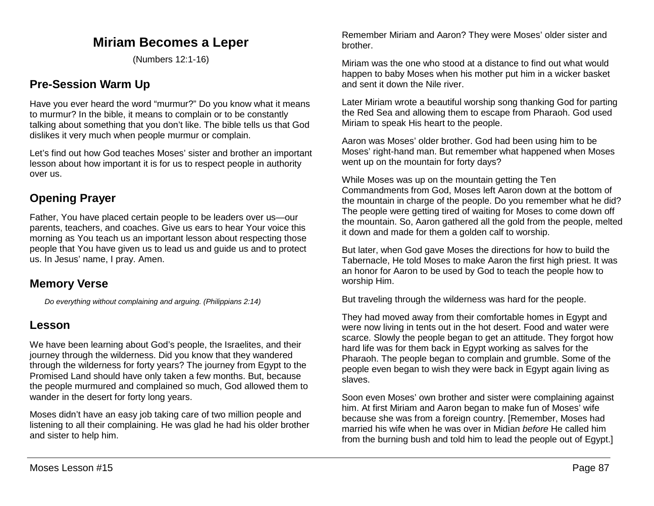# **Miriam Becomes a Leper**

(Numbers 12:1-16)

## **Pre-Session Warm Up**

Have you ever heard the word "murmur?" Do you know what it means to murmur? In the bible, it means to complain or to be constantly talking about something that you don't like. The bible tells us that God dislikes it very much when people murmur or complain.

Let's find out how God teaches Moses' sister and brother an important lesson about how important it is for us to respect people in authority over us.

## **Opening Prayer**

Father, You have placed certain people to be leaders over us—our parents, teachers, and coaches. Give us ears to hear Your voice this morning as You teach us an important lesson about respecting those people that You have given us to lead us and guide us and to protect us. In Jesus' name, I pray. Amen.

## **Memory Verse**

*Do everything without complaining and arguing. (Philippians 2:14)*

## **Lesson**

We have been learning about God's people, the Israelites, and their journey through the wilderness. Did you know that they wandered through the wilderness for forty years? The journey from Egypt to the Promised Land should have only taken a few months. But, because the people murmured and complained so much, God allowed them to wander in the desert for forty long years.

Moses didn't have an easy job taking care of two million people and listening to all their complaining. He was glad he had his older brother and sister to help him.

Remember Miriam and Aaron? They were Moses' older sister and brother.

Miriam was the one who stood at a distance to find out what would happen to baby Moses when his mother put him in a wicker basket and sent it down the Nile river.

Later Miriam wrote a beautiful worship song thanking God for parting the Red Sea and allowing them to escape from Pharaoh. God used Miriam to speak His heart to the people.

Aaron was Moses' older brother. God had been using him to be Moses' right-hand man. But remember what happened when Moses went up on the mountain for forty days?

While Moses was up on the mountain getting the Ten Commandments from God, Moses left Aaron down at the bottom of the mountain in charge of the people. Do you remember what he did? The people were getting tired of waiting for Moses to come down off the mountain. So, Aaron gathered all the gold from the people, melted it down and made for them a golden calf to worship.

But later, when God gave Moses the directions for how to build the Tabernacle, He told Moses to make Aaron the first high priest. It was an honor for Aaron to be used by God to teach the people how to worship Him.

But traveling through the wilderness was hard for the people.

They had moved away from their comfortable homes in Egypt and were now living in tents out in the hot desert. Food and water were scarce. Slowly the people began to get an attitude. They forgot how hard life was for them back in Egypt working as salves for the Pharaoh. The people began to complain and grumble. Some of the people even began to wish they were back in Egypt again living as slaves.

Soon even Moses' own brother and sister were complaining against him. At first Miriam and Aaron began to make fun of Moses' wife because she was from a foreign country. [Remember, Moses had married his wife when he was over in Midian *before* He called him from the burning bush and told him to lead the people out of Egypt.]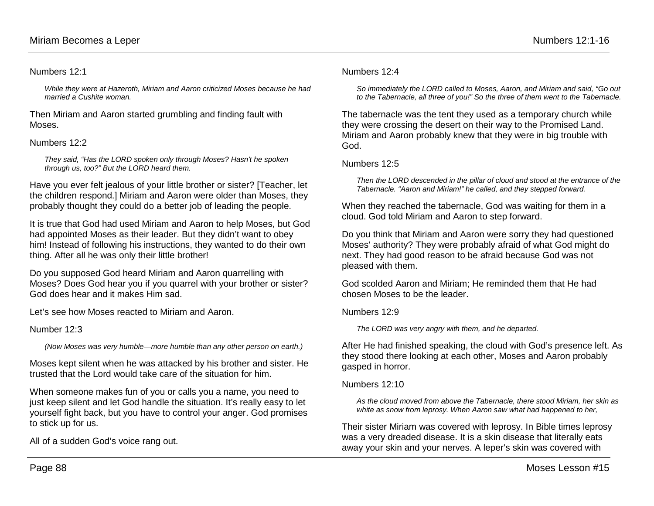#### Numbers 12:1

*While they were at Hazeroth, Miriam and Aaron criticized Moses because he had married a Cushite woman.*

Then Miriam and Aaron started grumbling and finding fault with Moses.

### Numbers 12:2

*They said, "Has the LORD spoken only through Moses? Hasn't he spoken through us, too?" But the LORD heard them.*

Have you ever felt jealous of your little brother or sister? [Teacher, let the children respond.] Miriam and Aaron were older than Moses, they probably thought they could do a better job of leading the people.

It is true that God had used Miriam and Aaron to help Moses, but God had appointed Moses as their leader. But they didn't want to obey him! Instead of following his instructions, they wanted to do their own thing. After all he was only their little brother!

Do you supposed God heard Miriam and Aaron quarrelling with Moses? Does God hear you if you quarrel with your brother or sister? God does hear and it makes Him sad.

Let's see how Moses reacted to Miriam and Aaron.

### Number 12:3

*(Now Moses was very humble—more humble than any other person on earth.)*

Moses kept silent when he was attacked by his brother and sister. He trusted that the Lord would take care of the situation for him.

When someone makes fun of you or calls you a name, you need to just keep silent and let God handle the situation. It's really easy to let yourself fight back, but you have to control your anger. God promises to stick up for us.

All of a sudden God's voice rang out.

#### Numbers 12:4

*So immediately the LORD called to Moses, Aaron, and Miriam and said, "Go out to the Tabernacle, all three of you!" So the three of them went to the Tabernacle.*

The tabernacle was the tent they used as a temporary church while they were crossing the desert on their way to the Promised Land. Miriam and Aaron probably knew that they were in big trouble with God.

### Numbers 12:5

*Then the LORD descended in the pillar of cloud and stood at the entrance of the Tabernacle. "Aaron and Miriam!" he called, and they stepped forward.*

When they reached the tabernacle, God was waiting for them in a cloud. God told Miriam and Aaron to step forward.

Do you think that Miriam and Aaron were sorry they had questioned Moses' authority? They were probably afraid of what God might do next. They had good reason to be afraid because God was not pleased with them.

God scolded Aaron and Miriam; He reminded them that He had chosen Moses to be the leader.

#### Numbers 12:9

*The LORD was very angry with them, and he departed.*

After He had finished speaking, the cloud with God's presence left. As they stood there looking at each other, Moses and Aaron probably gasped in horror.

#### Numbers 12:10

*As the cloud moved from above the Tabernacle, there stood Miriam, her skin as white as snow from leprosy. When Aaron saw what had happened to her,*

Their sister Miriam was covered with leprosy. In Bible times leprosy was a very dreaded disease. It is a skin disease that literally eats away your skin and your nerves. A leper's skin was covered with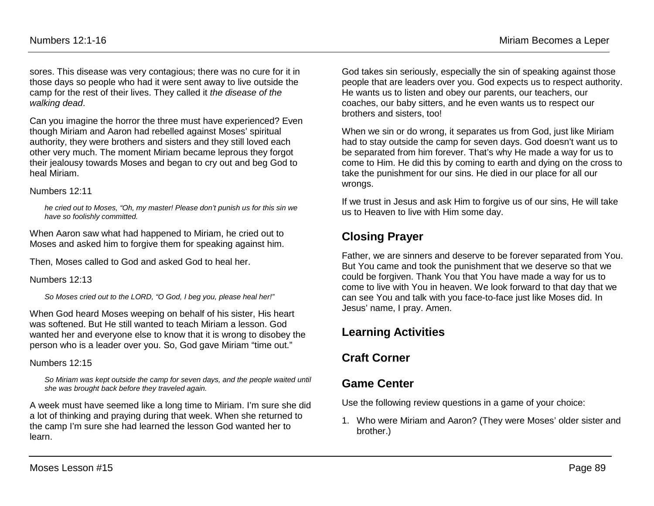sores. This disease was very contagious; there was no cure for it in those days so people who had it were sent away to live outside the camp for the rest of their lives. They called it *the disease of the walking dead*.

Can you imagine the horror the three must have experienced? Even though Miriam and Aaron had rebelled against Moses' spiritual authority, they were brothers and sisters and they still loved each other very much. The moment Miriam became leprous they forgot their jealousy towards Moses and began to cry out and beg God to heal Miriam.

### Numbers 12:11

*he cried out to Moses, "Oh, my master! Please don't punish us for this sin we have so foolishly committed.*

When Aaron saw what had happened to Miriam, he cried out to Moses and asked him to forgive them for speaking against him.

Then, Moses called to God and asked God to heal her.

Numbers 12:13

*So Moses cried out to the LORD, "O God, I beg you, please heal her!"*

When God heard Moses weeping on behalf of his sister, His heart was softened. But He still wanted to teach Miriam a lesson. God wanted her and everyone else to know that it is wrong to disobey the person who is a leader over you. So, God gave Miriam "time out."

Numbers 12:15

So Miriam was kept outside the camp for seven days, and the people waited until *she was brought back before they traveled again.*

A week must have seemed like a long time to Miriam. I'm sure she did a lot of thinking and praying during that week. When she returned to the camp I'm sure she had learned the lesson God wanted her to learn.

God takes sin seriously, especially the sin of speaking against those people that are leaders over you. God expects us to respect authority. He wants us to listen and obey our parents, our teachers, our coaches, our baby sitters, and he even wants us to respect our brothers and sisters, too!

When we sin or do wrong, it separates us from God, just like Miriam had to stay outside the camp for seven days. God doesn't want us to be separated from him forever. That's why He made a way for us to come to Him. He did this by coming to earth and dying on the cross to take the punishment for our sins. He died in our place for all our wrongs.

If we trust in Jesus and ask Him to forgive us of our sins, He will take us to Heaven to live with Him some day.

# **Closing Prayer**

Father, we are sinners and deserve to be forever separated from You. But You came and took the punishment that we deserve so that we could be forgiven. Thank You that You have made a way for us to come to live with You in heaven. We look forward to that day that we can see You and talk with you face-to-face just like Moses did. In Jesus' name, I pray. Amen.

## **Learning Activities**

# **Craft Corner**

## **Game Center**

Use the following review questions in a game of your choice:

1. Who were Miriam and Aaron? (They were Moses' older sister and brother.)